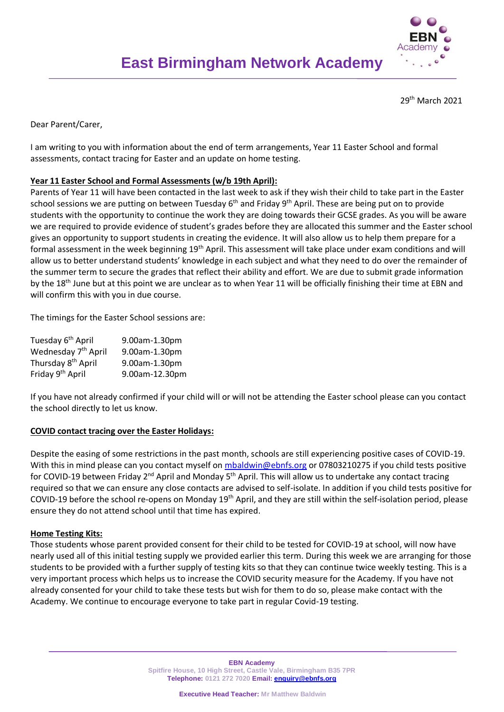

29th March 2021

Dear Parent/Carer,

I am writing to you with information about the end of term arrangements, Year 11 Easter School and formal assessments, contact tracing for Easter and an update on home testing.

## **Year 11 Easter School and Formal Assessments (w/b 19th April):**

Parents of Year 11 will have been contacted in the last week to ask if they wish their child to take part in the Easter school sessions we are putting on between Tuesday 6<sup>th</sup> and Friday 9<sup>th</sup> April. These are being put on to provide students with the opportunity to continue the work they are doing towards their GCSE grades. As you will be aware we are required to provide evidence of student's grades before they are allocated this summer and the Easter school gives an opportunity to support students in creating the evidence. It will also allow us to help them prepare for a formal assessment in the week beginning 19<sup>th</sup> April. This assessment will take place under exam conditions and will allow us to better understand students' knowledge in each subject and what they need to do over the remainder of the summer term to secure the grades that reflect their ability and effort. We are due to submit grade information by the 18<sup>th</sup> June but at this point we are unclear as to when Year 11 will be officially finishing their time at EBN and will confirm this with you in due course.

The timings for the Easter School sessions are:

| Tuesday 6 <sup>th</sup> April   | 9.00am-1.30pm  |
|---------------------------------|----------------|
| Wednesday 7 <sup>th</sup> April | 9.00am-1.30pm  |
| Thursday 8 <sup>th</sup> April  | 9.00am-1.30pm  |
| Friday 9 <sup>th</sup> April    | 9.00am-12.30pm |
|                                 |                |

If you have not already confirmed if your child will or will not be attending the Easter school please can you contact the school directly to let us know.

#### **COVID contact tracing over the Easter Holidays:**

Despite the easing of some restrictions in the past month, schools are still experiencing positive cases of COVID-19. With this in mind please can you contact myself on [mbaldwin@ebnfs.org](mailto:mbaldwin@ebnfs.org) or 07803210275 if you child tests positive for COVID-19 between Friday 2<sup>nd</sup> April and Monday 5<sup>th</sup> April. This will allow us to undertake any contact tracing required so that we can ensure any close contacts are advised to self-isolate. In addition if you child tests positive for COVID-19 before the school re-opens on Monday 19th April, and they are still within the self-isolation period, please ensure they do not attend school until that time has expired.

#### **Home Testing Kits:**

Those students whose parent provided consent for their child to be tested for COVID-19 at school, will now have nearly used all of this initial testing supply we provided earlier this term. During this week we are arranging for those students to be provided with a further supply of testing kits so that they can continue twice weekly testing. This is a very important process which helps us to increase the COVID security measure for the Academy. If you have not already consented for your child to take these tests but wish for them to do so, please make contact with the Academy. We continue to encourage everyone to take part in regular Covid-19 testing.